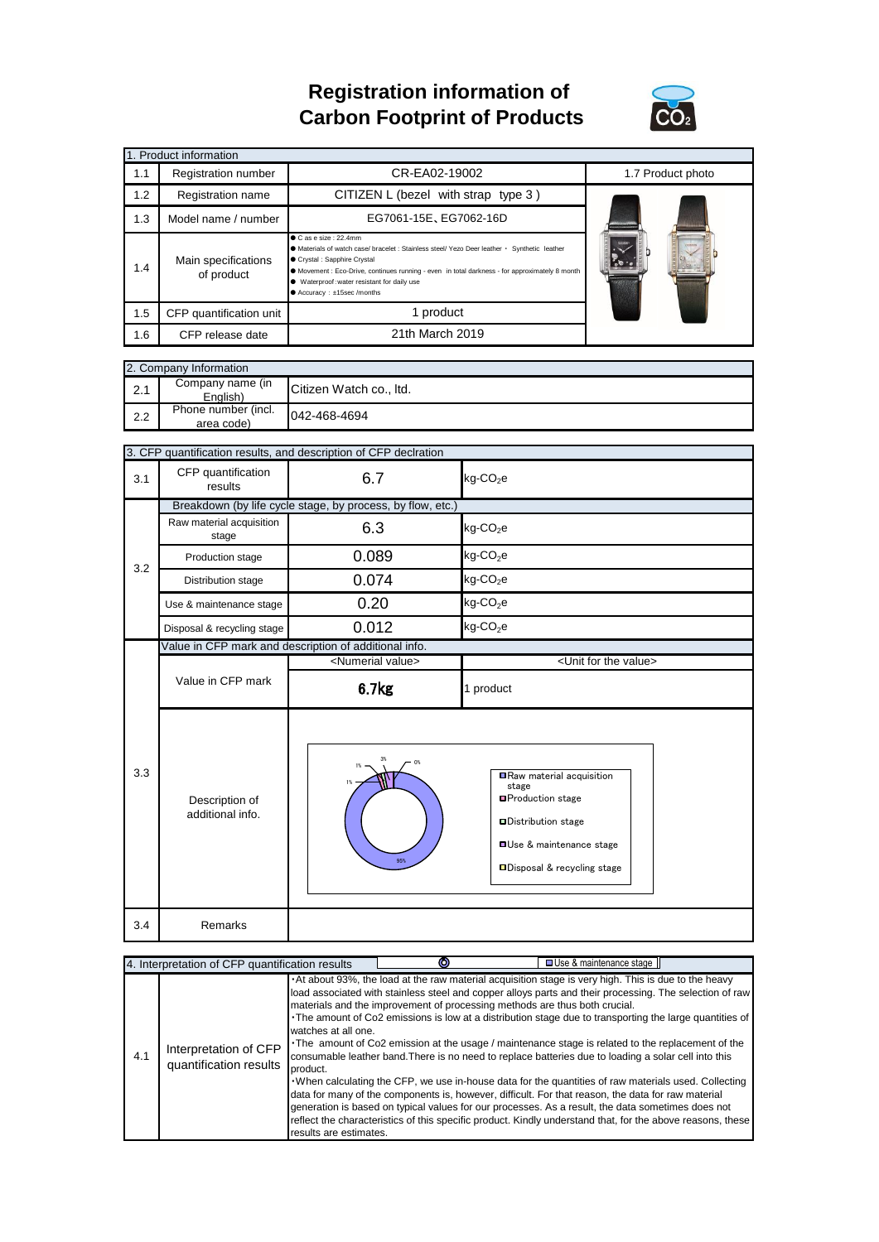## **Registration information of Carbon Footprint of Products**



| 1. Product information |                                   |                                                                                                                                                                                                                                                                                                                                            |  |  |  |  |  |
|------------------------|-----------------------------------|--------------------------------------------------------------------------------------------------------------------------------------------------------------------------------------------------------------------------------------------------------------------------------------------------------------------------------------------|--|--|--|--|--|
| 1.1                    | Registration number               | CR-EA02-19002                                                                                                                                                                                                                                                                                                                              |  |  |  |  |  |
| 1.2                    | Registration name                 | CITIZEN L (bezel with strap type $3$ )                                                                                                                                                                                                                                                                                                     |  |  |  |  |  |
| 1.3                    | Model name / number               | EG7061-15E, EG7062-16D                                                                                                                                                                                                                                                                                                                     |  |  |  |  |  |
| 1.4                    | Main specifications<br>of product | $\bullet$ C as e size : 22.4mm<br>A Materials of watch case/ bracelet : Stainless steel/ Yezo Deer leather · Synthetic leather<br>● Crystal : Sapphire Crystal<br>• Movement : Eco-Drive, continues running - even in total darkness - for approximately 8 month<br>Waterproof: water resistant for daily use<br>● Accuracy: ±15sec/months |  |  |  |  |  |
| 1.5                    | CFP quantification unit           |                                                                                                                                                                                                                                                                                                                                            |  |  |  |  |  |
| 1.6                    | CFP release date                  |                                                                                                                                                                                                                                                                                                                                            |  |  |  |  |  |

|     | 2. Company Information            |                         |  |  |  |  |  |
|-----|-----------------------------------|-------------------------|--|--|--|--|--|
| 2.1 | Company name (in<br>English)      | Citizen Watch co., Itd. |  |  |  |  |  |
| 2.2 | Phone number (incl.<br>area code) | 042-468-4694            |  |  |  |  |  |

|     | 3. CFP quantification results, and description of CFP declration |                                |                                                                                                                                                                   |  |  |  |  |
|-----|------------------------------------------------------------------|--------------------------------|-------------------------------------------------------------------------------------------------------------------------------------------------------------------|--|--|--|--|
| 3.1 | CFP quantification<br>results                                    | 6.7                            | $kg$ -CO <sub>2</sub> e                                                                                                                                           |  |  |  |  |
|     | Breakdown (by life cycle stage, by process, by flow, etc.)       |                                |                                                                                                                                                                   |  |  |  |  |
|     | Raw material acquisition<br>stage                                | 6.3                            | $kg$ -CO <sub>2</sub> e                                                                                                                                           |  |  |  |  |
| 3.2 | Production stage                                                 | 0.089                          | kg-CO <sub>2</sub> e                                                                                                                                              |  |  |  |  |
|     | 0.074<br>Distribution stage                                      |                                | $kg$ -CO <sub>2</sub> e                                                                                                                                           |  |  |  |  |
|     | Use & maintenance stage                                          | 0.20                           | $kg$ -CO <sub>2</sub> e                                                                                                                                           |  |  |  |  |
|     | Disposal & recycling stage                                       | 0.012                          | $kg$ -CO <sub>2</sub> e                                                                                                                                           |  |  |  |  |
|     | Value in CFP mark and description of additional info.            |                                |                                                                                                                                                                   |  |  |  |  |
|     |                                                                  | <numerial value=""></numerial> | <unit for="" the="" value=""></unit>                                                                                                                              |  |  |  |  |
|     | Value in CFP mark                                                | 6.7 <sub>kg</sub>              | 1 product                                                                                                                                                         |  |  |  |  |
| 3.3 | Description of<br>additional info.                               | 0%<br>95%                      | Raw material acquisition<br>stage<br><b>■Production stage</b><br><b>ODistribution stage</b><br><b>OUse &amp; maintenance stage</b><br>□Disposal & recycling stage |  |  |  |  |
| 3.4 | Remarks                                                          |                                |                                                                                                                                                                   |  |  |  |  |

| 4. Interpretation of CFP quantification results |                                                 |                                                           | о                                                                          | □ Use & maintenance stage II                                                                                                                                                                                                                                                                                                                                                                                                                                                                                                                                                                                                                                                                                                                                                                                                                                                                                                                                             |
|-------------------------------------------------|-------------------------------------------------|-----------------------------------------------------------|----------------------------------------------------------------------------|--------------------------------------------------------------------------------------------------------------------------------------------------------------------------------------------------------------------------------------------------------------------------------------------------------------------------------------------------------------------------------------------------------------------------------------------------------------------------------------------------------------------------------------------------------------------------------------------------------------------------------------------------------------------------------------------------------------------------------------------------------------------------------------------------------------------------------------------------------------------------------------------------------------------------------------------------------------------------|
| 4.1                                             | Interpretation of CFP<br>quantification results | watches at all one.<br>product.<br>results are estimates. | materials and the improvement of processing methods are thus both crucial. | . At about 93%, the load at the raw material acquisition stage is very high. This is due to the heavy<br>load associated with stainless steel and copper alloys parts and their processing. The selection of raw<br>The amount of Co2 emissions is low at a distribution stage due to transporting the large quantities of<br>The amount of Co2 emission at the usage / maintenance stage is related to the replacement of the<br>consumable leather band. There is no need to replace batteries due to loading a solar cell into this<br>. When calculating the CFP, we use in-house data for the quantities of raw materials used. Collecting<br>data for many of the components is, however, difficult. For that reason, the data for raw material<br>generation is based on typical values for our processes. As a result, the data sometimes does not<br>reflect the characteristics of this specific product. Kindly understand that, for the above reasons, these |